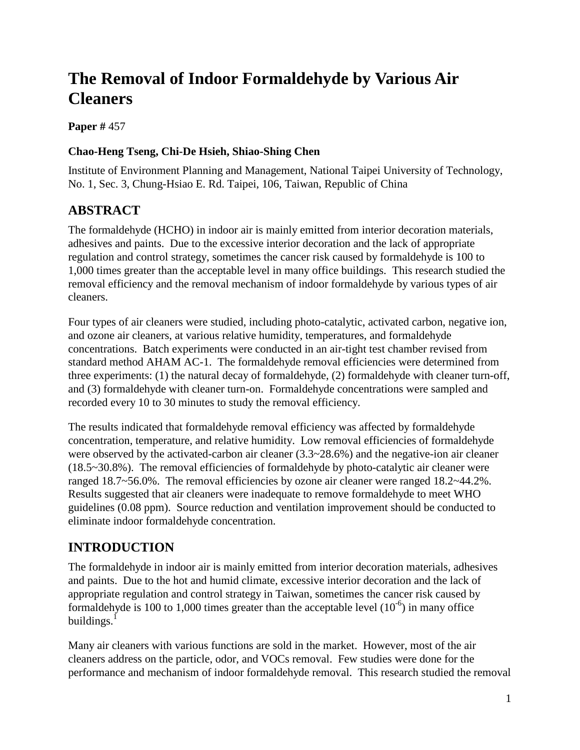# **The Removal of Indoor Formaldehyde by Various Air Cleaners**

**Paper #** 457

### **Chao-Heng Tseng, Chi-De Hsieh, Shiao-Shing Chen**

Institute of Environment Planning and Management, National Taipei University of Technology, No. 1, Sec. 3, Chung-Hsiao E. Rd. Taipei, 106, Taiwan, Republic of China

## **ABSTRACT**

The formaldehyde (HCHO) in indoor air is mainly emitted from interior decoration materials, adhesives and paints. Due to the excessive interior decoration and the lack of appropriate regulation and control strategy, sometimes the cancer risk caused by formaldehyde is 100 to 1,000 times greater than the acceptable level in many office buildings. This research studied the removal efficiency and the removal mechanism of indoor formaldehyde by various types of air cleaners.

Four types of air cleaners were studied, including photo-catalytic, activated carbon, negative ion, and ozone air cleaners, at various relative humidity, temperatures, and formaldehyde concentrations. Batch experiments were conducted in an air-tight test chamber revised from standard method AHAM AC-1. The formaldehyde removal efficiencies were determined from three experiments: (1) the natural decay of formaldehyde, (2) formaldehyde with cleaner turn-off, and (3) formaldehyde with cleaner turn-on. Formaldehyde concentrations were sampled and recorded every 10 to 30 minutes to study the removal efficiency.

The results indicated that formaldehyde removal efficiency was affected by formaldehyde concentration, temperature, and relative humidity. Low removal efficiencies of formaldehyde were observed by the activated-carbon air cleaner (3.3~28.6%) and the negative-ion air cleaner (18.5~30.8%). The removal efficiencies of formaldehyde by photo-catalytic air cleaner were ranged 18.7~56.0%. The removal efficiencies by ozone air cleaner were ranged 18.2~44.2%. Results suggested that air cleaners were inadequate to remove formaldehyde to meet WHO guidelines (0.08 ppm). Source reduction and ventilation improvement should be conducted to eliminate indoor formaldehyde concentration.

### **INTRODUCTION**

The formaldehyde in indoor air is mainly emitted from interior decoration materials, adhesives and paints. Due to the hot and humid climate, excessive interior decoration and the lack of appropriate regulation and control strategy in Taiwan, sometimes the cancer risk caused by formaldehyde is 100 to 1,000 times greater than the acceptable level  $(10^{-6})$  in many office buildings. $1$ 

Many air cleaners with various functions are sold in the market. However, most of the air cleaners address on the particle, odor, and VOCs removal. Few studies were done for the performance and mechanism of indoor formaldehyde removal. This research studied the removal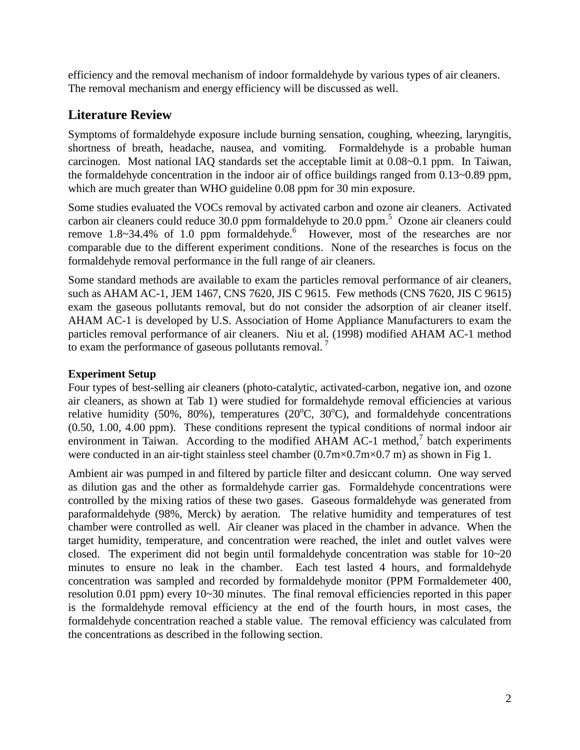efficiency and the removal mechanism of indoor formaldehyde by various types of air cleaners. The removal mechanism and energy efficiency will be discussed as well.

### **Literature Review**

Symptoms of formaldehyde exposure include burning sensation, coughing, wheezing, laryngitis, shortness of breath, headache, nausea, and vomiting. Formaldehyde is a probable human carcinogen. Most national IAQ standards set the acceptable limit at 0.08~0.1 ppm. In Taiwan, the formaldehyde concentration in the indoor air of office buildings ranged from 0.13~0.89 ppm, which are much greater than WHO guideline 0.08 ppm for 30 min exposure.

Some studies evaluated the VOCs removal by activated carbon and ozone air cleaners. Activated carbon air cleaners could reduce 30.0 ppm formaldehyde to 20.0 ppm.<sup>5</sup> Ozone air cleaners could remove  $1.8 \sim 34.4\%$  of 1.0 ppm formaldehyde.<sup>6</sup> However, most of the researches are nor comparable due to the different experiment conditions. None of the researches is focus on the formaldehyde removal performance in the full range of air cleaners.

Some standard methods are available to exam the particles removal performance of air cleaners, such as AHAM AC-1, JEM 1467, CNS 7620, JIS C 9615. Few methods (CNS 7620, JIS C 9615) exam the gaseous pollutants removal, but do not consider the adsorption of air cleaner itself. AHAM AC-1 is developed by U.S. Association of Home Appliance Manufacturers to exam the particles removal performance of air cleaners. Niu et al. (1998) modified AHAM AC-1 method to exam the performance of gaseous pollutants removal.  $<sup>7</sup>$ </sup>

#### **Experiment Setup**

Four types of best-selling air cleaners (photo-catalytic, activated-carbon, negative ion, and ozone air cleaners, as shown at Tab 1) were studied for formaldehyde removal efficiencies at various relative humidity (50%, 80%), temperatures (20 $^{\circ}$ C, 30 $^{\circ}$ C), and formaldehyde concentrations (0.50, 1.00, 4.00 ppm). These conditions represent the typical conditions of normal indoor air environment in Taiwan. According to the modified AHAM AC-1 method, $\frac{7}{1}$  batch experiments were conducted in an air-tight stainless steel chamber  $(0.7 \text{m} \times 0.7 \text{m} \times 0.7 \text{m})$  as shown in Fig 1.

Ambient air was pumped in and filtered by particle filter and desiccant column. One way served as dilution gas and the other as formaldehyde carrier gas. Formaldehyde concentrations were controlled by the mixing ratios of these two gases. Gaseous formaldehyde was generated from paraformaldehyde (98%, Merck) by aeration. The relative humidity and temperatures of test chamber were controlled as well. Air cleaner was placed in the chamber in advance. When the target humidity, temperature, and concentration were reached, the inlet and outlet valves were closed. The experiment did not begin until formaldehyde concentration was stable for  $10~20$ minutes to ensure no leak in the chamber. Each test lasted 4 hours, and formaldehyde concentration was sampled and recorded by formaldehyde monitor (PPM Formaldemeter 400, resolution 0.01 ppm) every 10~30 minutes. The final removal efficiencies reported in this paper is the formaldehyde removal efficiency at the end of the fourth hours, in most cases, the formaldehyde concentration reached a stable value. The removal efficiency was calculated from the concentrations as described in the following section.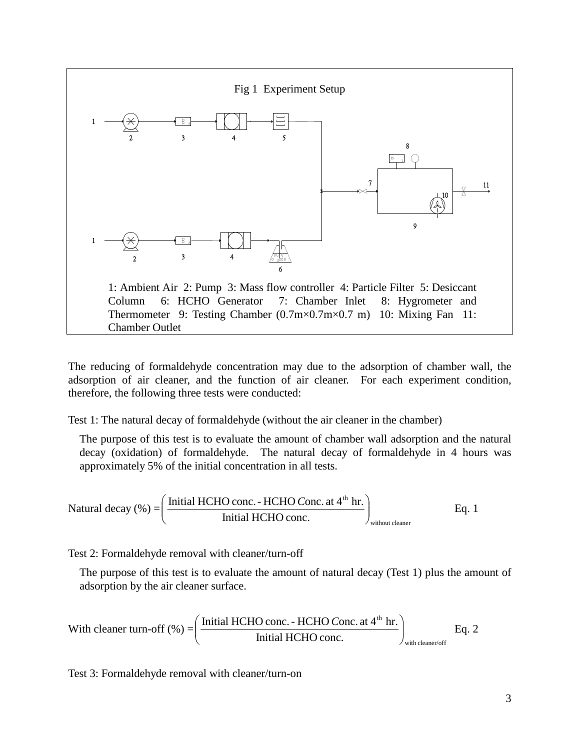

The reducing of formaldehyde concentration may due to the adsorption of chamber wall, the adsorption of air cleaner, and the function of air cleaner. For each experiment condition, therefore, the following three tests were conducted:

Test 1: The natural decay of formaldehyde (without the air cleaner in the chamber)

The purpose of this test is to evaluate the amount of chamber wall adsorption and the natural decay (oxidation) of formaldehyde. The natural decay of formaldehyde in 4 hours was approximately 5% of the initial concentration in all tests.

Natural decay (
$$
\% = \left( \frac{\text{Initial HCHO conc. - HCHO Cone. at 4th hr.}}{\text{Initial HCHO conc.}} \right)_{\text{without cleaner}}
$$
 Eq. 1

Test 2: Formaldehyde removal with cleaner/turn-off

The purpose of this test is to evaluate the amount of natural decay (Test 1) plus the amount of adsorption by the air cleaner surface.

With cleaner turn-off (%) = 
$$
\left(\frac{\text{Initial HCHO conc. - HCHO Conc. at 4th hr.}}{\text{Initial HCHO conc.}}\right)_{\text{with cleaner/off}}
$$
 Eq. 2

Test 3: Formaldehyde removal with cleaner/turn-on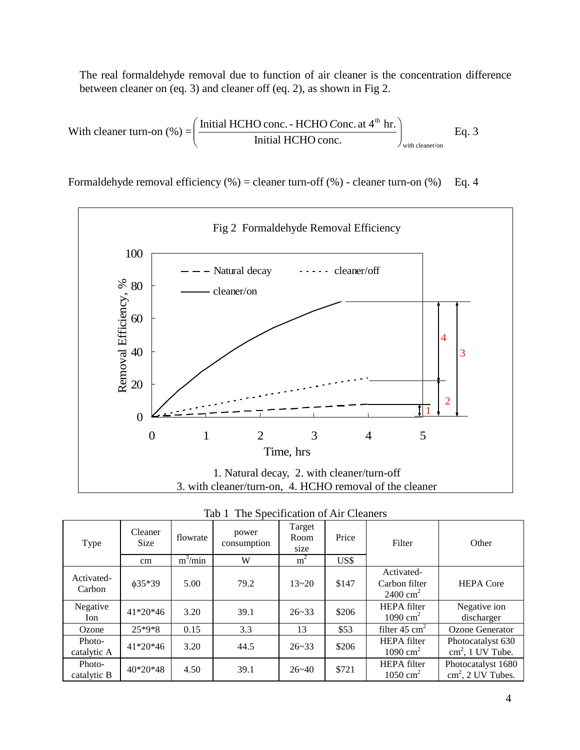The real formaldehyde removal due to function of air cleaner is the concentration difference between cleaner on (eq. 3) and cleaner off (eq. 2), as shown in Fig 2.

With cleaner turn-on (%) = 
$$
\left(\frac{\text{Initial HCHO conc. - HCHO Cone. at 4th hr.}}{\text{Initial HCHO conc.}}\right)_{\text{with cleaner/on}}
$$
 Eq. 3

Formaldehyde removal efficiency  $(\%)$  = cleaner turn-off  $(\%)$  - cleaner turn-on  $(\%)$  Eq. 4



|  |  | Tab 1 The Specification of Air Cleaners |  |  |
|--|--|-----------------------------------------|--|--|
|--|--|-----------------------------------------|--|--|

| Type                  | Cleaner<br><b>Size</b> | flowrate  | power<br>consumption | Target<br>Room<br>size | Price | Filter                                             | Other                                             |
|-----------------------|------------------------|-----------|----------------------|------------------------|-------|----------------------------------------------------|---------------------------------------------------|
|                       | $\rm cm$               | $m^3/min$ | W                    | m <sup>2</sup>         | US\$  |                                                    |                                                   |
| Activated-<br>Carbon  | $\phi$ 35*39           | 5.00      | 79.2                 | $13 - 20$              | \$147 | Activated-<br>Carbon filter<br>$2400 \text{ cm}^2$ | <b>HEPA</b> Core                                  |
| Negative<br>Ion       | $41*20*46$             | 3.20      | 39.1                 | $26 - 33$              | \$206 | <b>HEPA</b> filter<br>$1090 \text{ cm}^2$          | Negative ion<br>discharger                        |
| Ozone                 | 25*9*8                 | 0.15      | 3.3                  | 13                     | \$53  | filter $45 \text{ cm}^2$                           | Ozone Generator                                   |
| Photo-<br>catalytic A | $41*20*46$             | 3.20      | 44.5                 | $26 - 33$              | \$206 | <b>HEPA</b> filter<br>$1090 \text{ cm}^2$          | Photocatalyst 630<br>$\text{cm}^2$ , 1 UV Tube.   |
| Photo-<br>catalytic B | $40*20*48$             | 4.50      | 39.1                 | $26 - 40$              | \$721 | <b>HEPA</b> filter<br>$1050 \text{ cm}^2$          | Photocatalyst 1680<br>$\text{cm}^2$ , 2 UV Tubes. |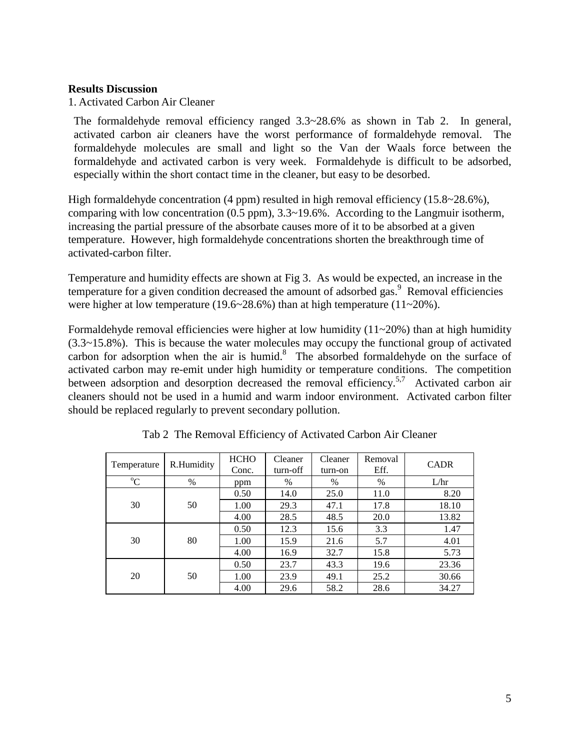#### **Results Discussion**

1. Activated Carbon Air Cleaner

The formaldehyde removal efficiency ranged 3.3~28.6% as shown in Tab 2. In general, activated carbon air cleaners have the worst performance of formaldehyde removal. The formaldehyde molecules are small and light so the Van der Waals force between the formaldehyde and activated carbon is very week. Formaldehyde is difficult to be adsorbed, especially within the short contact time in the cleaner, but easy to be desorbed.

High formaldehyde concentration (4 ppm) resulted in high removal efficiency (15.8~28.6%), comparing with low concentration (0.5 ppm), 3.3~19.6%. According to the Langmuir isotherm, increasing the partial pressure of the absorbate causes more of it to be absorbed at a given temperature. However, high formaldehyde concentrations shorten the breakthrough time of activated-carbon filter.

Temperature and humidity effects are shown at Fig 3. As would be expected, an increase in the temperature for a given condition decreased the amount of adsorbed gas. $\frac{9}{9}$  Removal efficiencies were higher at low temperature (19.6~28.6%) than at high temperature (11~20%).

Formaldehyde removal efficiencies were higher at low humidity  $(11~20%)$  than at high humidity (3.3~15.8%). This is because the water molecules may occupy the functional group of activated carbon for adsorption when the air is humid. 8 The absorbed formaldehyde on the surface of activated carbon may re-emit under high humidity or temperature conditions. The competition between adsorption and desorption decreased the removal efficiency.<sup>5,7</sup> Activated carbon air cleaners should not be used in a humid and warm indoor environment. Activated carbon filter should be replaced regularly to prevent secondary pollution.

| Temperature | R.Humidity | <b>HCHO</b><br>Conc. | Cleaner<br>turn-off | Cleaner<br>turn-on | Removal<br>Eff. | <b>CADR</b> |
|-------------|------------|----------------------|---------------------|--------------------|-----------------|-------------|
| $\rm ^{o}C$ | $\%$       | ppm                  | $\%$                | $\%$               | %               | L/hr        |
|             |            | 0.50                 | 14.0                | 25.0               | 11.0            | 8.20        |
| 30          | 50         | 1.00                 | 29.3                | 47.1               | 17.8            | 18.10       |
|             |            | 4.00                 | 28.5                | 48.5               | 20.0            | 13.82       |
|             |            | 0.50                 | 12.3                | 15.6               | 3.3             | 1.47        |
| 30          | 80         | 1.00                 | 15.9                | 21.6               | 5.7             | 4.01        |
|             |            | 4.00                 | 16.9                | 32.7               | 15.8            | 5.73        |
|             |            | 0.50                 | 23.7                | 43.3               | 19.6            | 23.36       |
| 20          | 50         | 1.00                 | 23.9                | 49.1               | 25.2            | 30.66       |
|             |            | 4.00                 | 29.6                | 58.2               | 28.6            | 34.27       |

Tab 2 The Removal Efficiency of Activated Carbon Air Cleaner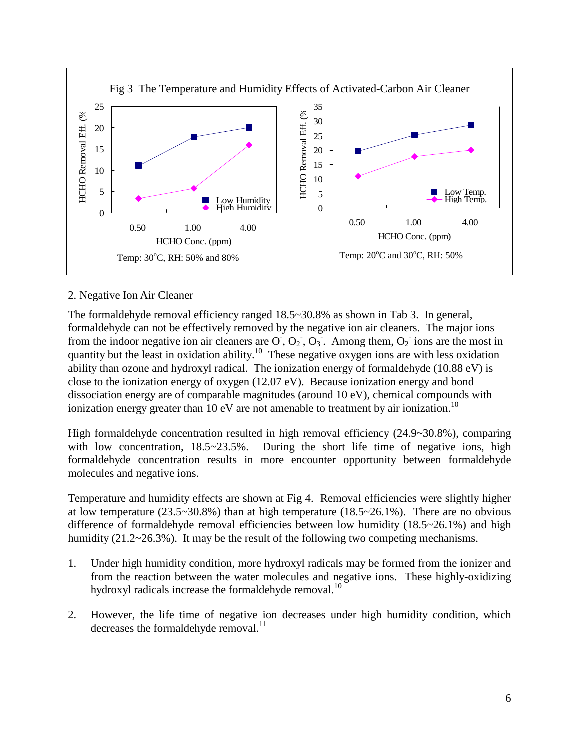

#### 2. Negative Ion Air Cleaner

The formaldehyde removal efficiency ranged 18.5~30.8% as shown in Tab 3. In general, formaldehyde can not be effectively removed by the negative ion air cleaners. The major ions from the indoor negative ion air cleaners are  $\overline{O}$ ,  $\overline{O_2}$ ,  $\overline{O_3}$ . Among them,  $\overline{O_2}$  ions are the most in quantity but the least in oxidation ability.<sup>10</sup> These negative oxygen ions are with less oxidation ability than ozone and hydroxyl radical. The ionization energy of formaldehyde (10.88 eV) is close to the ionization energy of oxygen (12.07 eV). Because ionization energy and bond dissociation energy are of comparable magnitudes (around 10 eV), chemical compounds with ionization energy greater than 10 eV are not amenable to treatment by air ionization.<sup>10</sup>

High formaldehyde concentration resulted in high removal efficiency (24.9~30.8%), comparing with low concentration,  $18.5 \times 23.5\%$ . During the short life time of negative ions, high formaldehyde concentration results in more encounter opportunity between formaldehyde molecules and negative ions.

Temperature and humidity effects are shown at Fig 4. Removal efficiencies were slightly higher at low temperature  $(23.5~30.8%)$  than at high temperature  $(18.5~26.1%)$ . There are no obvious difference of formaldehyde removal efficiencies between low humidity (18.5~26.1%) and high humidity (21.2~26.3%). It may be the result of the following two competing mechanisms.

- 1. Under high humidity condition, more hydroxyl radicals may be formed from the ionizer and from the reaction between the water molecules and negative ions. These highly-oxidizing hydroxyl radicals increase the formaldehyde removal.<sup>10</sup>
- 2. However, the life time of negative ion decreases under high humidity condition, which decreases the formaldehyde removal. $^{11}$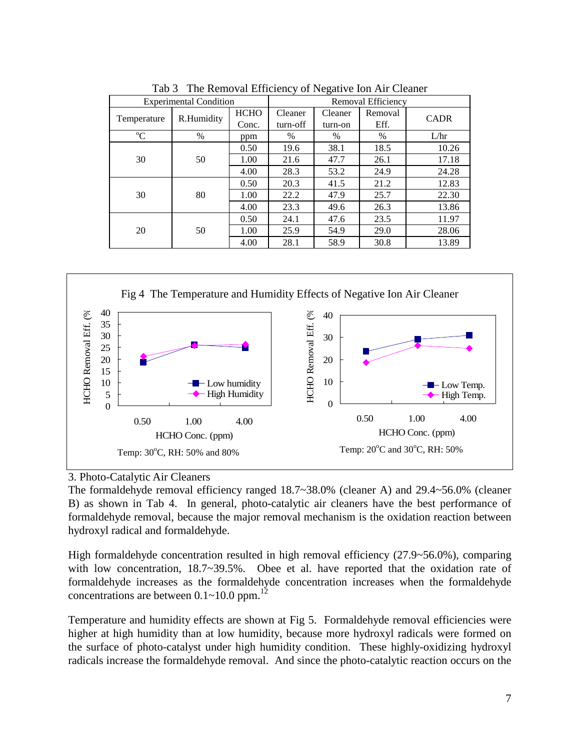|                               |            |                      |                     | $\circ$            |                 |             |
|-------------------------------|------------|----------------------|---------------------|--------------------|-----------------|-------------|
| <b>Experimental Condition</b> |            |                      | Removal Efficiency  |                    |                 |             |
| Temperature                   | R.Humidity | <b>HCHO</b><br>Conc. | Cleaner<br>turn-off | Cleaner<br>turn-on | Removal<br>Eff. | <b>CADR</b> |
| $\rm ^{o}C$                   | $\%$       | ppm                  | %                   | %                  | %               | L/hr        |
|                               |            | 0.50                 | 19.6                | 38.1               | 18.5            | 10.26       |
| 30                            | 50         | 1.00                 | 21.6                | 47.7               | 26.1            | 17.18       |
|                               |            | 4.00                 | 28.3                | 53.2               | 24.9            | 24.28       |
|                               |            | 0.50                 | 20.3                | 41.5               | 21.2            | 12.83       |
| 30                            | 80         | 1.00                 | 22.2                | 47.9               | 25.7            | 22.30       |
|                               |            | 4.00                 | 23.3                | 49.6               | 26.3            | 13.86       |
|                               |            | 0.50                 | 24.1                | 47.6               | 23.5            | 11.97       |
| 50<br>20                      |            | 1.00                 | 25.9                | 54.9               | 29.0            | 28.06       |
|                               |            | 4.00                 | 28.1                | 58.9               | 30.8            | 13.89       |

Tab 3 The Removal Efficiency of Negative Ion Air Cleaner



#### 3. Photo-Catalytic Air Cleaners

The formaldehyde removal efficiency ranged 18.7~38.0% (cleaner A) and 29.4~56.0% (cleaner B) as shown in Tab 4. In general, photo-catalytic air cleaners have the best performance of formaldehyde removal, because the major removal mechanism is the oxidation reaction between hydroxyl radical and formaldehyde.

High formaldehyde concentration resulted in high removal efficiency (27.9~56.0%), comparing with low concentration, 18.7~39.5%. Obee et al. have reported that the oxidation rate of formaldehyde increases as the formaldehyde concentration increases when the formaldehyde concentrations are between  $0.1 \sim 10.0$  ppm.<sup>12</sup>

Temperature and humidity effects are shown at Fig 5. Formaldehyde removal efficiencies were higher at high humidity than at low humidity, because more hydroxyl radicals were formed on the surface of photo-catalyst under high humidity condition. These highly-oxidizing hydroxyl radicals increase the formaldehyde removal. And since the photo-catalytic reaction occurs on the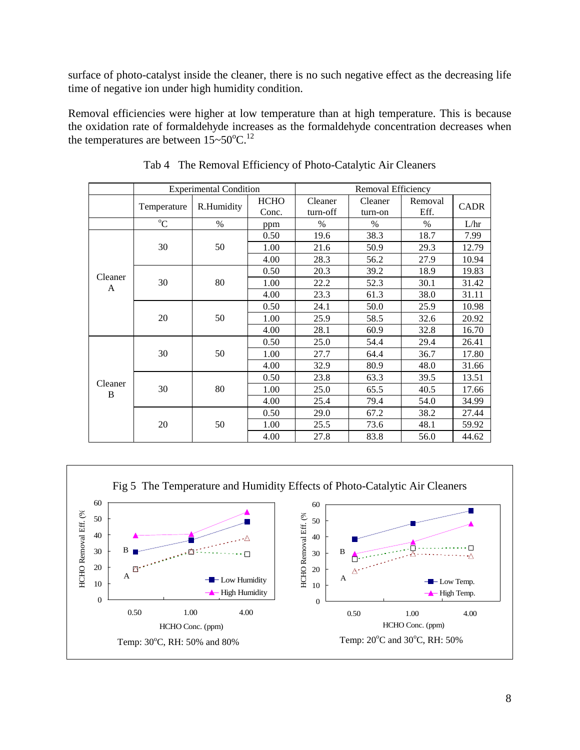surface of photo-catalyst inside the cleaner, there is no such negative effect as the decreasing life time of negative ion under high humidity condition.

Removal efficiencies were higher at low temperature than at high temperature. This is because the oxidation rate of formaldehyde increases as the formaldehyde concentration decreases when the temperatures are between  $15 \sim 50^{\circ}$ C.<sup>12</sup>

|                    |             | <b>Experimental Condition</b> |                      | Removal Efficiency  |                    |                 |             |  |  |
|--------------------|-------------|-------------------------------|----------------------|---------------------|--------------------|-----------------|-------------|--|--|
|                    | Temperature | R.Humidity                    | <b>HCHO</b><br>Conc. | Cleaner<br>turn-off | Cleaner<br>turn-on | Removal<br>Eff. | <b>CADR</b> |  |  |
|                    | $^{\circ}C$ | $\%$                          | ppm                  | $\frac{0}{0}$       | $\%$               | $\%$            | L/hr        |  |  |
|                    |             |                               | 0.50                 | 19.6                | 38.3               | 18.7            | 7.99        |  |  |
|                    | 30          | 50                            | 1.00                 | 21.6                | 50.9               | 29.3            | 12.79       |  |  |
|                    |             |                               | 4.00                 | 28.3                | 56.2               | 27.9            | 10.94       |  |  |
|                    |             |                               | 0.50                 | 20.3                | 39.2               | 18.9            | 19.83       |  |  |
| Cleaner<br>A       | 30          | 80                            | 1.00                 | 22.2                | 52.3               | 30.1            | 31.42       |  |  |
|                    |             |                               | 4.00                 | 23.3                | 61.3               | 38.0            | 31.11       |  |  |
|                    | 20          | 50                            | 0.50                 | 24.1                | 50.0               | 25.9            | 10.98       |  |  |
|                    |             |                               | 1.00                 | 25.9                | 58.5               | 32.6            | 20.92       |  |  |
|                    |             |                               | 4.00                 | 28.1                | 60.9               | 32.8            | 16.70       |  |  |
|                    |             |                               | 0.50                 | 25.0                | 54.4               | 29.4            | 26.41       |  |  |
|                    | 30          | 50                            | 1.00                 | 27.7                | 64.4               | 36.7            | 17.80       |  |  |
|                    |             |                               | 4.00                 | 32.9                | 80.9               | 48.0            | 31.66       |  |  |
|                    |             |                               | 0.50                 | 23.8                | 63.3               | 39.5            | 13.51       |  |  |
| Cleaner<br>30<br>B | 80          | 1.00                          | 25.0                 | 65.5                | 40.5               | 17.66           |             |  |  |
|                    |             |                               | 4.00                 | 25.4                | 79.4               | 54.0            | 34.99       |  |  |
|                    |             | 50                            | 0.50                 | 29.0                | 67.2               | 38.2            | 27.44       |  |  |
|                    | 20          |                               | 1.00                 | 25.5                | 73.6               | 48.1            | 59.92       |  |  |
|                    |             |                               | 4.00                 | 27.8                | 83.8               | 56.0            | 44.62       |  |  |

Tab 4 The Removal Efficiency of Photo-Catalytic Air Cleaners

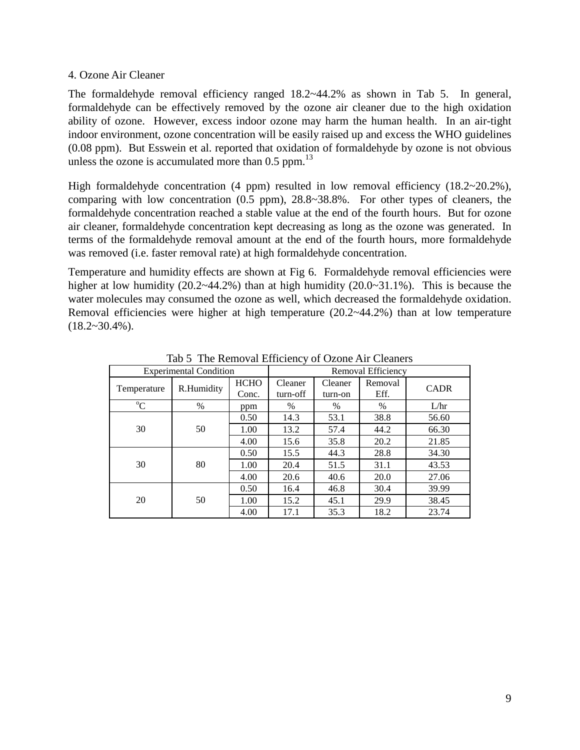#### 4. Ozone Air Cleaner

The formaldehyde removal efficiency ranged  $18.2 \times 44.2\%$  as shown in Tab 5. In general, formaldehyde can be effectively removed by the ozone air cleaner due to the high oxidation ability of ozone. However, excess indoor ozone may harm the human health. In an air-tight indoor environment, ozone concentration will be easily raised up and excess the WHO guidelines (0.08 ppm). But Esswein et al. reported that oxidation of formaldehyde by ozone is not obvious unless the ozone is accumulated more than  $0.5$  ppm.<sup>13</sup>

High formaldehyde concentration (4 ppm) resulted in low removal efficiency (18.2~20.2%), comparing with low concentration (0.5 ppm), 28.8~38.8%. For other types of cleaners, the formaldehyde concentration reached a stable value at the end of the fourth hours. But for ozone air cleaner, formaldehyde concentration kept decreasing as long as the ozone was generated. In terms of the formaldehyde removal amount at the end of the fourth hours, more formaldehyde was removed (i.e. faster removal rate) at high formaldehyde concentration.

Temperature and humidity effects are shown at Fig 6. Formaldehyde removal efficiencies were higher at low humidity (20.2~44.2%) than at high humidity (20.0~31.1%). This is because the water molecules may consumed the ozone as well, which decreased the formaldehyde oxidation. Removal efficiencies were higher at high temperature (20.2~44.2%) than at low temperature  $(18.2~30.4\%)$ .

| <b>Experimental Condition</b> |            |             | Removal Efficiency |         |         |             |  |
|-------------------------------|------------|-------------|--------------------|---------|---------|-------------|--|
|                               | R.Humidity | <b>HCHO</b> | Cleaner            | Cleaner | Removal | <b>CADR</b> |  |
| Temperature                   |            | Conc.       | turn-off           | turn-on | Eff.    |             |  |
| $\rm ^{o}C$                   | $\%$       | ppm         | %                  | $\%$    | $\%$    | L/hr        |  |
|                               |            | 0.50        | 14.3               | 53.1    | 38.8    | 56.60       |  |
| 30                            | 50         | 1.00        | 13.2               | 57.4    | 44.2    | 66.30       |  |
|                               |            | 4.00        | 15.6               | 35.8    | 20.2    | 21.85       |  |
| 30                            | 80         | 0.50        | 15.5               | 44.3    | 28.8    | 34.30       |  |
|                               |            | 1.00        | 20.4               | 51.5    | 31.1    | 43.53       |  |
|                               |            | 4.00        | 20.6               | 40.6    | 20.0    | 27.06       |  |
|                               |            | 0.50        | 16.4               | 46.8    | 30.4    | 39.99       |  |
| 20                            | 50         | 1.00        | 15.2               | 45.1    | 29.9    | 38.45       |  |
|                               |            | 4.00        | 17.1               | 35.3    | 18.2    | 23.74       |  |

Tab 5 The Removal Efficiency of Ozone Air Cleaners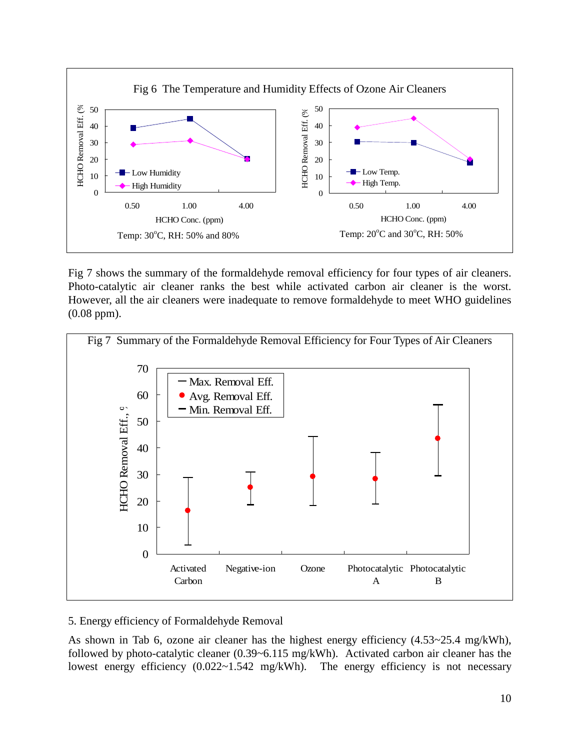

Fig 7 shows the summary of the formaldehyde removal efficiency for four types of air cleaners. Photo-catalytic air cleaner ranks the best while activated carbon air cleaner is the worst. However, all the air cleaners were inadequate to remove formaldehyde to meet WHO guidelines (0.08 ppm).



#### 5. Energy efficiency of Formaldehyde Removal

As shown in Tab 6, ozone air cleaner has the highest energy efficiency (4.53~25.4 mg/kWh), followed by photo-catalytic cleaner (0.39~6.115 mg/kWh). Activated carbon air cleaner has the lowest energy efficiency  $(0.022 \times 1.542 \text{ mg/kWh})$ . The energy efficiency is not necessary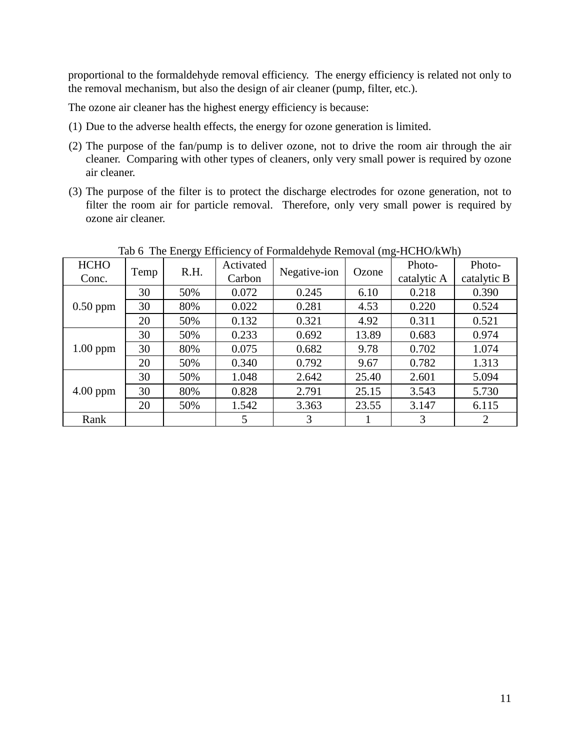proportional to the formaldehyde removal efficiency. The energy efficiency is related not only to the removal mechanism, but also the design of air cleaner (pump, filter, etc.).

The ozone air cleaner has the highest energy efficiency is because:

- (1) Due to the adverse health effects, the energy for ozone generation is limited.
- (2) The purpose of the fan/pump is to deliver ozone, not to drive the room air through the air cleaner. Comparing with other types of cleaners, only very small power is required by ozone air cleaner.
- (3) The purpose of the filter is to protect the discharge electrodes for ozone generation, not to filter the room air for particle removal. Therefore, only very small power is required by ozone air cleaner.

|                      |      | ັ    |                     |              |       |                       |                       |
|----------------------|------|------|---------------------|--------------|-------|-----------------------|-----------------------|
| <b>HCHO</b><br>Conc. | Temp | R.H. | Activated<br>Carbon | Negative-ion | Ozone | Photo-<br>catalytic A | Photo-<br>catalytic B |
|                      |      |      |                     |              |       |                       |                       |
|                      | 30   | 50%  | 0.072               | 0.245        | 6.10  | 0.218                 | 0.390                 |
| $0.50$ ppm           | 30   | 80%  | 0.022               | 0.281        | 4.53  | 0.220                 | 0.524                 |
|                      | 20   | 50%  | 0.132               | 0.321        | 4.92  | 0.311                 | 0.521                 |
|                      | 30   | 50%  | 0.233               | 0.692        | 13.89 | 0.683                 | 0.974                 |
| $1.00$ ppm           | 30   | 80%  | 0.075               | 0.682        | 9.78  | 0.702                 | 1.074                 |
|                      | 20   | 50%  | 0.340               | 0.792        | 9.67  | 0.782                 | 1.313                 |
|                      | 30   | 50%  | 1.048               | 2.642        | 25.40 | 2.601                 | 5.094                 |
| $4.00$ ppm           | 30   | 80%  | 0.828               | 2.791        | 25.15 | 3.543                 | 5.730                 |
|                      | 20   | 50%  | 1.542               | 3.363        | 23.55 | 3.147                 | 6.115                 |
| Rank                 |      |      | 5                   | 3            |       | 3                     | 2                     |

Tab 6 The Energy Efficiency of Formaldehyde Removal (mg-HCHO/kWh)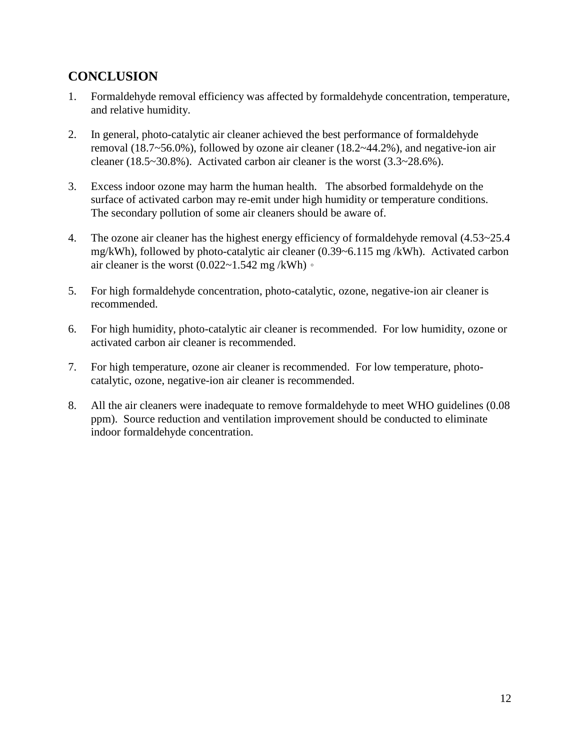### **CONCLUSION**

- 1. Formaldehyde removal efficiency was affected by formaldehyde concentration, temperature, and relative humidity.
- 2. In general, photo-catalytic air cleaner achieved the best performance of formaldehyde removal (18.7~56.0%), followed by ozone air cleaner (18.2~44.2%), and negative-ion air cleaner (18.5~30.8%). Activated carbon air cleaner is the worst (3.3~28.6%).
- 3. Excess indoor ozone may harm the human health. The absorbed formaldehyde on the surface of activated carbon may re-emit under high humidity or temperature conditions. The secondary pollution of some air cleaners should be aware of.
- 4. The ozone air cleaner has the highest energy efficiency of formaldehyde removal (4.53~25.4 mg/kWh), followed by photo-catalytic air cleaner (0.39~6.115 mg /kWh). Activated carbon air cleaner is the worst  $(0.022 \times 1.542 \text{ mg/kg} \cdot \text{W/h})$ .
- 5. For high formaldehyde concentration, photo-catalytic, ozone, negative-ion air cleaner is recommended.
- 6. For high humidity, photo-catalytic air cleaner is recommended. For low humidity, ozone or activated carbon air cleaner is recommended.
- 7. For high temperature, ozone air cleaner is recommended. For low temperature, photocatalytic, ozone, negative-ion air cleaner is recommended.
- 8. All the air cleaners were inadequate to remove formaldehyde to meet WHO guidelines (0.08 ppm). Source reduction and ventilation improvement should be conducted to eliminate indoor formaldehyde concentration.